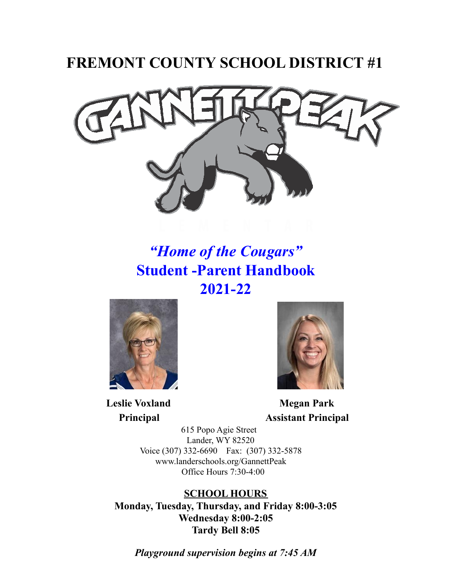# **FREMONT COUNTY SCHOOL DISTRICT #1**



# *"Home of the Cougars"* **Student -Parent Handbook 2021-22**



**Leslie Voxland Megan Park**



**Principal Assistant Principal**

615 Popo Agie Street Lander, WY 82520 Voice (307) 332-6690 Fax: (307) 332-5878 www.landerschools.org/GannettPeak Office Hours 7:30-4:00

**SCHOOL HOURS Monday, Tuesday, Thursday, and Friday 8:00-3:05 Wednesday 8:00-2:05 Tardy Bell 8:05**

*Playground supervision begins at 7:45 AM*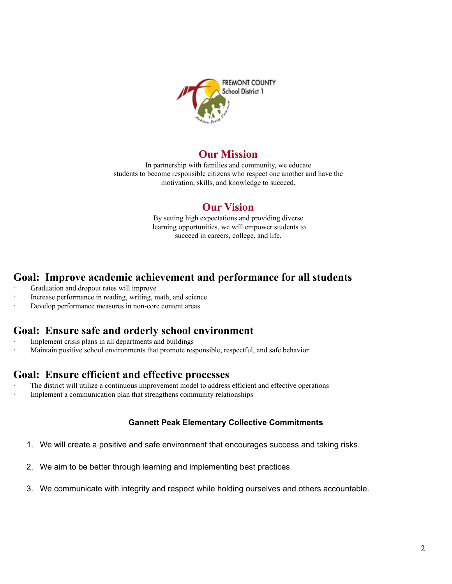

# **Our Mission**

In partnership with families and community, we educate students to become responsible citizens who respect one another and have the motivation, skills, and knowledge to succeed.

# **Our Vision**

By setting high expectations and providing diverse learning opportunities, we will empower students to succeed in careers, college, and life.

# **Goal: Improve academic achievement and performance for all students**

- Graduation and dropout rates will improve
- Increase performance in reading, writing, math, and science
- Develop performance measures in non-core content areas

# **Goal: Ensure safe and orderly school environment**

- Implement crisis plans in all departments and buildings
- · Maintain positive school environments that promote responsible, respectful, and safe behavior

# **Goal: Ensure efficient and effective processes**

- The district will utilize a continuous improvement model to address efficient and effective operations
- Implement a communication plan that strengthens community relationships

# **Gannett Peak Elementary Collective Commitments**

- 1. We will create a positive and safe environment that encourages success and taking risks.
- 2. We aim to be better through learning and implementing best practices.
- 3. We communicate with integrity and respect while holding ourselves and others accountable.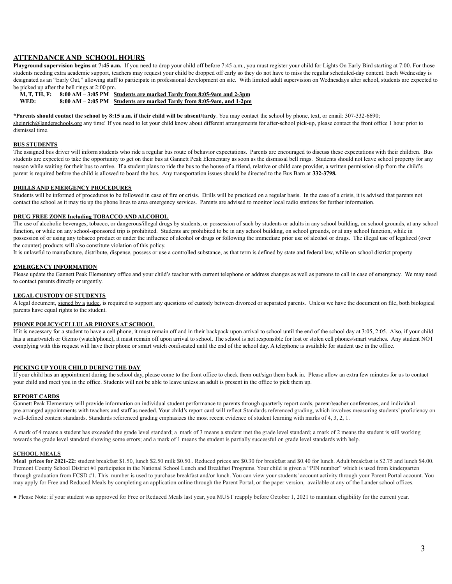### **ATTENDANCE AND SCHOOL HOURS**

**Playground supervision begins at 7:45 a.m.** If you need to drop your child off before 7:45 a.m., you must register your child for Lights On Early Bird starting at 7:00. For those students needing extra academic support, teachers may request your child be dropped off early so they do not have to miss the regular scheduled-day content. Each Wednesday is designated as an "Early Out," allowing staff to participate in professional development on site. With limited adult supervision on Wednesdays after school, students are expected to be picked up after the bell rings at 2:00 pm.

**M, T, TH, F: 8:00 AM – 3:05 PM Students are marked Tardy from 8:05-9am and 2-3pm**

**WED: 8:00 AM – 2:05 PM Students are marked Tardy from 8:05-9am, and 1-2pm**

\*Parents should contact the school by 8:15 a.m. if their child will be absent/tardy. You may contact the school by phone, text, or email: 307-332-6690;

[sheinrich@landerschools.org](mailto:sheinrich@landerschools.org) any time! If you need to let your child know about different arrangements for after-school pick-up, please contact the front office 1 hour prior to dismissal time.

### **BUS STUDENTS**

The assigned bus driver will inform students who ride a regular bus route of behavior expectations. Parents are encouraged to discuss these expectations with their children. Bus students are expected to take the opportunity to get on their bus at Gannett Peak Elementary as soon as the dismissal bell rings. Students should not leave school property for any reason while waiting for their bus to arrive. If a student plans to ride the bus to the house of a friend, relative or child care provider, a written permission slip from the child's parent is required before the child is allowed to board the bus. Any transportation issues should be directed to the Bus Barn at **332-3798.**

### **DRILLS AND EMERGENCY PROCEDURES**

Students will be informed of procedures to be followed in case of fire or crisis. Drills will be practiced on a regular basis. In the case of a crisis, it is advised that parents not contact the school as it may tie up the phone lines to area emergency services. Parents are advised to monitor local radio stations for further information.

### **DRUG FREE ZONE Including TOBACCO AND ALCOHOL**

The use of alcoholic beverages, tobacco, or dangerous/illegal drugs by students, or possession of such by students or adults in any school building, on school grounds, at any school function, or while on any school-sponsored trip is prohibited. Students are prohibited to be in any school building, on school grounds, or at any school function, while in possession of or using any tobacco product or under the influence of alcohol or drugs or following the immediate prior use of alcohol or drugs. The illegal use of legalized (over the counter) products will also constitute violation of this policy.

It is unlawful to manufacture, distribute, dispense, possess or use a controlled substance, as that term is defined by state and federal law, while on school district property

### **EMERGENCY INFORMATION**

Please update the Gannett Peak Elementary office and your child's teacher with current telephone or address changes as well as persons to call in case of emergency. We may need to contact parents directly or urgently.

### **LEGAL CUSTODY OF STUDENTS**

A legal document, signed by a judge, is required to support any questions of custody between divorced or separated parents. Unless we have the document on file, both biological parents have equal rights to the student.

### **PHONE POLICY/CELLULAR PHONES AT SCHOOL**

If it is necessary for a student to have a cell phone, it must remain off and in their backpack upon arrival to school until the end of the school day at  $3:05, 2:05$ . Also, if your child has a smartwatch or Gizmo (watch/phone), it must remain off upon arrival to school. The school is not responsible for lost or stolen cell phones/smart watches. Any student NOT complying with this request will have their phone or smart watch confiscated until the end of the school day. A telephone is available for student use in the office.

### **PICKING UP YOUR CHILD DURING THE DAY**

If your child has an appointment during the school day, please come to the front office to check them out/sign them back in. Please allow an extra few minutes for us to contact your child and meet you in the office. Students will not be able to leave unless an adult is present in the office to pick them up.

### **REPORT CARDS**

Gannett Peak Elementary will provide information on individual student performance to parents through quarterly report cards, parent/teacher conferences, and individual pre-arranged appointments with teachers and staff as needed. Your child's report card will reflect Standards referenced grading, which involves measuring students' proficiency on well-defined content standards. Standards referenced grading emphasizes the most recent evidence of student learning with marks of 4, 3, 2, 1.

A mark of 4 means a student has exceeded the grade level standard; a mark of 3 means a student met the grade level standard; a mark of 2 means the student is still working towards the grade level standard showing some errors; and a mark of 1 means the student is partially successful on grade level standards with help.

#### **SCHOOL MEALS**

Meal prices for 2021-22: student breakfast \$1.50, lunch \$2.50 milk \$0.50.. Reduced prices are \$0.30 for breakfast and \$0.40 for lunch. Adult breakfast is \$2.75 and lunch \$4.00. Fremont County School District #1 participates in the National School Lunch and Breakfast Programs. Your child is given a "PIN number" which is used from kindergarten through graduation from FCSD #1. This number is used to purchase breakfast and/or lunch. You can view your students' account activity through your Parent Portal account. You may apply for Free and Reduced Meals by completing an application online through the Parent Portal, or the paper version, available at any of the Lander school offices.

• Please Note: if your student was approved for Free or Reduced Meals last year, you MUST reapply before October 1, 2021 to maintain eligibility for the current year.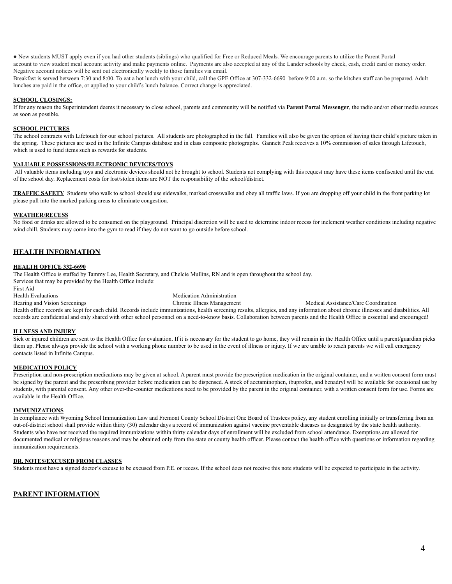● New students MUST apply even if you had other students (siblings) who qualified for Free or Reduced Meals. We encourage parents to utilize the Parent Portal account to view student meal account activity and make payments online. Payments are also accepted at any of the Lander schools by check, cash, credit card or money order. Negative account notices will be sent out electronically weekly to those families via email.

Breakfast is served between 7:30 and 8:00. To eat a hot lunch with your child, call the GPE Office at 307-332-6690 before 9:00 a.m. so the kitchen staff can be prepared. Adult lunches are paid in the office, or applied to your child's lunch balance. Correct change is appreciated.

### **SCHOOL CLOSINGS:**

If for any reason the Superintendent deems it necessary to close school, parents and community will be notified via **Parent Portal Messenger**, the radio and/or other media sources as soon as possible.

### **SCHOOL PICTURES**

The school contracts with Lifetouch for our school pictures. All students are photographed in the fall. Families will also be given the option of having their child's picture taken in the spring. These pictures are used in the Infinite Campus database and in class composite photographs. Gannett Peak receives a 10% commission of sales through Lifetouch, which is used to fund items such as rewards for students.

### **VALUABLE POSSESSIONS/ELECTRONIC DEVICES/TOYS**

All valuable items including toys and electronic devices should not be brought to school. Students not complying with this request may have these items confiscated until the end of the school day. Replacement costs for lost/stolen items are NOT the responsibility of the school/district.

**TRAFFIC SAFETY** Students who walk to school should use sidewalks, marked crosswalks and obey all traffic laws. If you are dropping off your child in the front parking lot please pull into the marked parking areas to eliminate congestion.

### **WEATHER/RECESS**

No food or drinks are allowed to be consumed on the playground. Principal discretion will be used to determine indoor recess for inclement weather conditions including negative wind chill. Students may come into the gym to read if they do not want to go outside before school.

### **HEALTH INFORMATION**

### **HEALTH OFFICE 332-6690**

The Health Office is staffed by Tammy Lee, Health Secretary, and Chelcie Mullins, RN and is open throughout the school day. Services that may be provided by the Health Office include:

First Aid

Health Evaluations<br>
Hearing and Vision Screenings<br>
Medication Administration<br>
Chronic Illness Managemen

Chronic Illness Management Medical Assistance/Care Coordination

Health office records are kept for each child. Records include immunizations, health screening results, allergies, and any information about chronic illnesses and disabilities. All records are confidential and only shared with other school personnel on a need-to-know basis. Collaboration between parents and the Health Office is essential and encouraged!

### **ILLNESS AND INJURY**

Sick or injured children are sent to the Health Office for evaluation. If it is necessary for the student to go home, they will remain in the Health Office until a parent/guardian picks them up. Please always provide the school with a working phone number to be used in the event of illness or injury. If we are unable to reach parents we will call emergency contacts listed in Infinite Campus.

### **MEDICATION POLICY**

Prescription and non-prescription medications may be given at school. A parent must provide the prescription medication in the original container, and a written consent form must be signed by the parent and the prescribing provider before medication can be dispensed. A stock of acetaminophen, ibuprofen, and benadryl will be available for occasional use by students, with parental consent. Any other over-the-counter medications need to be provided by the parent in the original container, with a written consent form for use. Forms are available in the Health Office.

#### **IMMUNIZATIONS**

In compliance with Wyoming School Immunization Law and Fremont County School District One Board of Trustees policy, any student enrolling initially or transferring from an out-of-district school shall provide within thirty (30) calendar days a record of immunization against vaccine preventable diseases as designated by the state health authority. Students who have not received the required immunizations within thirty calendar days of enrollment will be excluded from school attendance. Exemptions are allowed for documented medical or religious reasons and may be obtained only from the state or county health officer. Please contact the health office with questions or information regarding immunization requirements.

### **DR. NOTES/EXCUSED FROM CLASSES**

Students must have a signed doctor's excuse to be excused from P.E. or recess. If the school does not receive this note students will be expected to participate in the activity.

### **PARENT INFORMATION**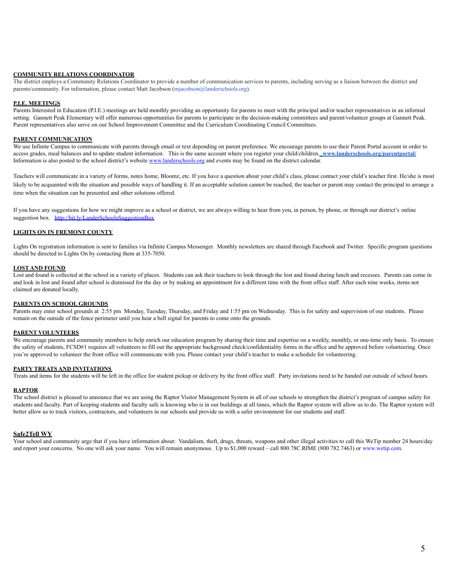### **COMMUNITY RELATIONS COORDINATOR**

The district employs a Community Relations Coordinator to provide a number of communication services to parents, including serving as a liaison between the district and parents/community. For information, please contact Matt Jacobson (mjacobson@landerschools.org).

### **P.I.E. MEETINGS**

Parents Interested in Education (P.I.E.) meetings are held monthly providing an opportunity for parents to meet with the principal and/or teacher representatives in an informal setting. Gannett Peak Elementary will offer numerous opportunities for parents to participate in the decision-making committees and parent/volunteer groups at Gannett Peak. Parent representatives also serve on our School Improvement Committee and the Curriculum Coordinating Council Committees.

### **PARENT COMMUNICATION**

We use Infinite Campus to communicate with parents through email or text depending on parent preference. We encourage parents to use their Parent Portal account in order to access grades, meal balances and to update student information. This is the same account where you register your child/children. [www.landerschools.org/parentportal/](http://www.landerschools.org/parentportal/) Information is also posted to the school district's website [www.landerschools.org](http://www.landerschools.org) and events may be found on the district calendar.

Teachers will communicate in a variety of forms, notes home, Bloomz, etc. If you have a question about your child's class, please contact your child's teacher first. He/she is most likely to be acquainted with the situation and possible ways of handling it. If an acceptable solution cannot be reached, the teacher or parent may contact the principal to arrange a time when the situation can be presented and other solutions offered.

If you have any suggestions for how we might improve as a school or district, we are always willing to hear from you, in person, by phone, or through our district's online suggestion box. <http://bit.ly/LanderSchoolsSuggestionBox>

### **LIGHTS ON IN FREMONT COUNTY**

Lights On registration information is sent to families via Infinite Campus Messenger. Monthly newsletters are shared through Facebook and Twitter. Specific program questions should be directed to Lights On by contacting them at 335-7050.

### **LOST AND FOUND**

Lost and found is collected at the school in a variety of places. Students can ask their teachers to look through the lost and found during lunch and recesses. Parents can come in and look in lost and found after school is dismissed for the day or by making an appointment for a different time with the front office staff. After each nine weeks, items not claimed are donated locally.

### **PARENTS ON SCHOOL GROUNDS**

Parents may enter school grounds at 2:55 pm Monday, Tuesday, Thursday, and Friday and 1:55 pm on Wednesday. This is for safety and supervision of our students. Please remain on the outside of the fence perimeter until you hear a bell signal for parents to come onto the grounds.

### **PARENT VOLUNTEERS**

We encourage parents and community members to help enrich our education program by sharing their time and expertise on a weekly, monthly, or one-time only basis. To ensure the safety of students, FCSD#1 requires all volunteers to fill out the appropriate background check/confidentiality forms in the office and be approved before volunteering. Once you're approved to volunteer the front office will communicate with you. Please contact your child's teacher to make a schedule for volunteering.

#### **PARTY TREATS AND INVITATIONS**

Treats and items for the students will be left in the office for student pickup or delivery by the front office staff. Party invitations need to be handed out outside of school hours.

#### **RAPTOR**

The school district is pleased to announce that we are using the Raptor Visitor Management System in all of our schools to strengthen the district's program of campus safety for students and faculty. Part of keeping students and faculty safe is knowing who is in our buildings at all times, which the Raptor system will allow us to do. The Raptor system will better allow us to track visitors, contractors, and volunteers in our schools and provide us with a safer environment for our students and staff.

#### **Safe2Tell WY**

Your school and community urge that if you have information about: Vandalism, theft, drugs, threats, weapons and other illegal activities to call this WeTip number 24 hours/day and report your concerns. No one will ask your name. You will remain anonymous. Up to \$1,000 reward – call 800.78C.RIME (800.782.7463) or [www.wetip.com.](http://www.wetip.com)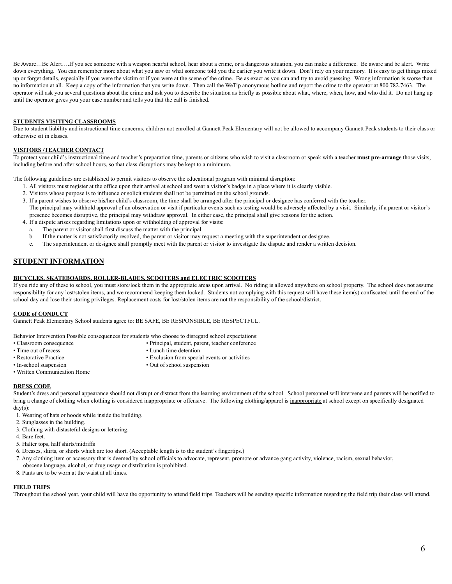Be Aware…Be Alert….If you see someone with a weapon near/at school, hear about a crime, or a dangerous situation, you can make a difference. Be aware and be alert. Write down everything. You can remember more about what you saw or what someone told you the earlier you write it down. Don't rely on your memory. It is easy to get things mixed up or forget details, especially if you were the victim or if you were at the scene of the crime. Be as exact as you can and try to avoid guessing. Wrong information is worse than no information at all. Keep a copy of the information that you write down. Then call the WeTip anonymous hotline and report the crime to the operator at 800.782.7463. The operator will ask you several questions about the crime and ask you to describe the situation as briefly as possible about what, where, when, how, and who did it. Do not hang up until the operator gives you your case number and tells you that the call is finished.

### **STUDENTS VISITING CLASSROOMS**

Due to student liability and instructional time concerns, children not enrolled at Gannett Peak Elementary will not be allowed to accompany Gannett Peak students to their class or otherwise sit in classes.

### **VISITORS /TEACHER CONTACT**

To protect your child's instructional time and teacher's preparation time, parents or citizens who wish to visit a classroom or speak with a teacher **must pre-arrange** those visits, including before and after school hours, so that class disruptions may be kept to a minimum.

The following guidelines are established to permit visitors to observe the educational program with minimal disruption:

- 1. All visitors must register at the office upon their arrival at school and wear a visitor's badge in a place where it is clearly visible.
- 2. Visitors whose purpose is to influence or solicit students shall not be permitted on the school grounds.
- 3. If a parent wishes to observe his/her child's classroom, the time shall be arranged after the principal or designee has conferred with the teacher. The principal may withhold approval of an observation or visit if particular events such as testing would be adversely affected by a visit. Similarly, if a parent or visitor's presence becomes disruptive, the principal may withdraw approval. In either case, the principal shall give reasons for the action.
- 4. If a dispute arises regarding limitations upon or withholding of approval for visits:
	- a. The parent or visitor shall first discuss the matter with the principal.
	- b. If the matter is not satisfactorily resolved, the parent or visitor may request a meeting with the superintendent or designee.
	- c. The superintendent or designee shall promptly meet with the parent or visitor to investigate the dispute and render a written decision.

### **STUDENT INFORMATION**

### **BICYCLES, SKATEBOARDS, ROLLER-BLADES, SCOOTERS and ELECTRIC SCOOTERS**

If you ride any of these to school, you must store/lock them in the appropriate areas upon arrival. No riding is allowed anywhere on school property. The school does not assume responsibility for any lost/stolen items, and we recommend keeping them locked. Students not complying with this request will have these item(s) confiscated until the end of the school day and lose their storing privileges. Replacement costs for lost/stolen items are not the responsibility of the school/district.

### **CODE of CONDUCT**

Gannett Peak Elementary School students agree to: BE SAFE, BE RESPONSIBLE, BE RESPECTFUL.

Behavior Intervention Possible consequences for students who choose to disregard school expectations:

- Classroom consequence Principal, student, parent, teacher conference
- Time out of recess Lunch time detention
- 
- 
- 
- Restorative Practice Exclusion from special events or activities In-school suspension Out of school suspension • Out of school suspension
- Written Communication Home

### **DRESS CODE**

Student's dress and personal appearance should not disrupt or distract from the learning environment of the school. School personnel will intervene and parents will be notified to bring a change of clothing when clothing is considered inappropriate or offensive. The following clothing/apparel is inappropriate at school except on specifically designated day(s):

- 1. Wearing of hats or hoods while inside the building.
- 2. Sunglasses in the building.
- 3. Clothing with distasteful designs or lettering.
- 4. Bare feet.
- 5. Halter tops, half shirts/midriffs
- 6. Dresses, skirts, or shorts which are too short. (Acceptable length is to the student's fingertips.)
- 7. Any clothing item or accessory that is deemed by school officials to advocate, represent, promote or advance gang activity, violence, racism, sexual behavior,
- obscene language, alcohol, or drug usage or distribution is prohibited.
- 8. Pants are to be worn at the waist at all times.

### **FIELD TRIPS**

Throughout the school year, your child will have the opportunity to attend field trips. Teachers will be sending specific information regarding the field trip their class will attend.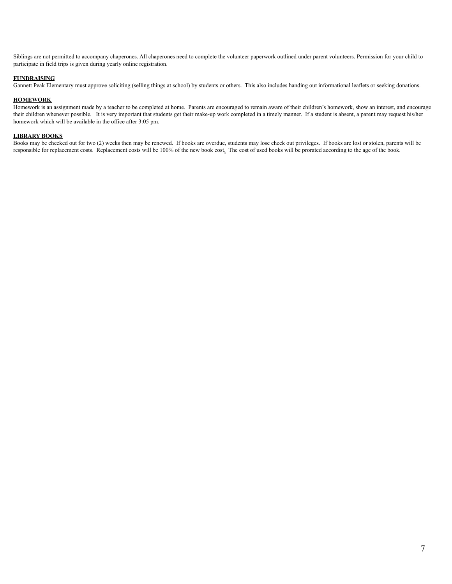Siblings are not permitted to accompany chaperones. All chaperones need to complete the volunteer paperwork outlined under parent volunteers. Permission for your child to participate in field trips is given during yearly online registration.

### **FUNDRAISING**

Gannett Peak Elementary must approve soliciting (selling things at school) by students or others. This also includes handing out informational leaflets or seeking donations.

### **HOMEWORK**

Homework is an assignment made by a teacher to be completed at home. Parents are encouraged to remain aware of their children's homework, show an interest, and encourage their children whenever possible. It is very important that students get their make-up work completed in a timely manner. If a student is absent, a parent may request his/her homework which will be available in the office after 3:05 pm.

### **LIBRARY BOOKS**

Books may be checked out for two (2) weeks then may be renewed. If books are overdue, students may lose check out privileges. If books are lost or stolen, parents will be responsible for replacement costs. Replacement costs will be 100% of the new book cost. The cost of used books will be prorated according to the age of the book.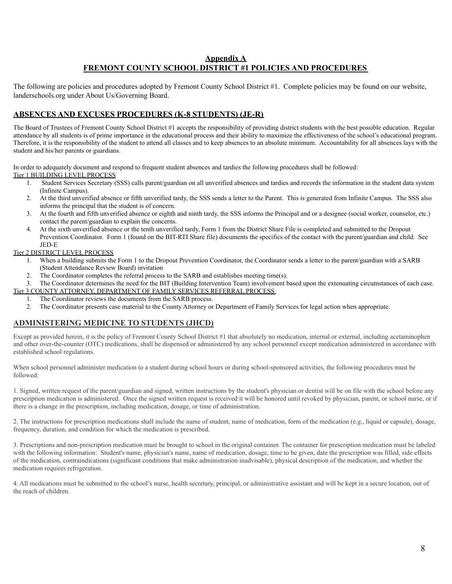# **Appendix A FREMONT COUNTY SCHOOL DISTRICT #1 POLICIES AND PROCEDURES**

The following are policies and procedures adopted by Fremont County School District #1. Complete policies may be found on our website, landerschools.org under About Us/Governing Board.

# **ABSENCES AND EXCUSES PROCEDURES (K-8 STUDENTS) (JE-R)**

The Board of Trustees of Fremont County School District #1 accepts the responsibility of providing district students with the best possible education. Regular attendance by all students is of prime importance in the educational process and their ability to maximize the effectiveness of the school's educational program. Therefore, it is the responsibility of the student to attend all classes and to keep absences to an absolute minimum. Accountability for all absences lays with the student and his/her parents or guardians.

In order to adequately document and respond to frequent student absences and tardies the following procedures shall be followed: Tier 1 BUILDING LEVEL PROCESS

- 1. Student Services Secretary (SSS) calls parent/guardian on all unverified absences and tardies and records the information in the student data system (Infinite Campus).
- 2. At the third unverified absence or fifth unverified tardy, the SSS sends a letter to the Parent. This is generated from Infinite Campus. The SSS also informs the principal that the student is of concern.
- 3. At the fourth and fifth unverified absence or eighth and ninth tardy, the SSS informs the Principal and or a designee (social worker, counselor, etc.) contact the parent/guardian to explain the concerns.
- 4. At the sixth unverified absence or the tenth unverified tardy, Form 1 from the District Share File is completed and submitted to the Dropout Prevention Coordinator. Form 1 (found on the BIT-RTI Share file) documents the specifics of the contact with the parent/guardian and child. See JED-E

### Tier 2 DISTRICT LEVEL PROCESS

- 1. When a building submits the Form 1 to the Dropout Prevention Coordinator, the Coordinator sends a letter to the parent/guardian with a SARB (Student Attendance Review Board) invitation
- 2. The Coordinator completes the referral process to the SARB and establishes meeting time(s).
- 3. The Coordinator determines the need for the BIT (Building Intervention Team) involvement based upon the extenuating circumstances of each case. Tier 3 COUNTY ATTORNEY, DEPARTMENT OF FAMILY SERVICES REFERRAL PROCESS
	- 1. The Coordinator reviews the documents from the SARB process.
	- 2. The Coordinator presents case material to the County Attorney or Department of Family Services for legal action when appropriate.

# **ADMINISTERING MEDICINE TO STUDENTS (JHCD)**

Except as provided herein, it is the policy of Fremont County School District #1 that absolutely no medication, internal or external, including acetaminophen and other over-the-counter (OTC) medications, shall be dispensed or administered by any school personnel except medication administered in accordance with established school regulations.

When school personnel administer medication to a student during school hours or during school-sponsored activities, the following procedures must be followed:

1. Signed, written request of the parent/guardian and signed, written instructions by the student's physician or dentist will be on file with the school before any prescription medication is administered. Once the signed written request is received it will be honored until revoked by physician, parent, or school nurse, or if there is a change in the prescription, including medication, dosage, or time of administration.

2. The instructions for prescription medications shall include the name of student, name of medication, form of the medication (e.g., liquid or capsule), dosage, frequency, duration, and condition for which the medication is prescribed.

3. Prescriptions and non-prescription medication must be brought to school in the original container. The container for prescription medication must be labeled with the following information: Student's name, physician's name, name of medication, dosage, time to be given, date the prescription was filled, side effects of the medication, contraindications (significant conditions that make administration inadvisable), physical description of the medication, and whether the medication requires refrigeration.

4. All medications must be submitted to the school's nurse, health secretary, principal, or administrative assistant and will be kept in a secure location, out of the reach of children.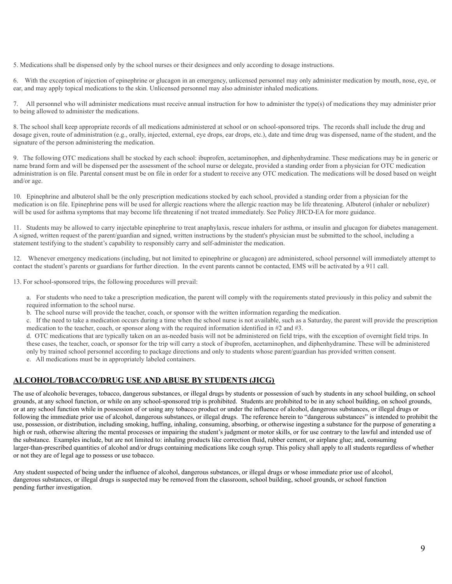5. Medications shall be dispensed only by the school nurses or their designees and only according to dosage instructions.

6. With the exception of injection of epinephrine or glucagon in an emergency, unlicensed personnel may only administer medication by mouth, nose, eye, or ear, and may apply topical medications to the skin. Unlicensed personnel may also administer inhaled medications.

7. All personnel who will administer medications must receive annual instruction for how to administer the type(s) of medications they may administer prior to being allowed to administer the medications.

8. The school shall keep appropriate records of all medications administered at school or on school-sponsored trips. The records shall include the drug and dosage given, route of administration (e.g., orally, injected, external, eye drops, ear drops, etc.), date and time drug was dispensed, name of the student, and the signature of the person administering the medication.

9. The following OTC medications shall be stocked by each school: ibuprofen, acetaminophen, and diphenhydramine. These medications may be in generic or name brand form and will be dispensed per the assessment of the school nurse or delegate, provided a standing order from a physician for OTC medication administration is on file. Parental consent must be on file in order for a student to receive any OTC medication. The medications will be dosed based on weight and/or age.

10. Epinephrine and albuterol shall be the only prescription medications stocked by each school, provided a standing order from a physician for the medication is on file. Epinephrine pens will be used for allergic reactions where the allergic reaction may be life threatening. Albuterol (inhaler or nebulizer) will be used for asthma symptoms that may become life threatening if not treated immediately. See Policy JHCD-EA for more guidance.

11. Students may be allowed to carry injectable epinephrine to treat anaphylaxis, rescue inhalers for asthma, or insulin and glucagon for diabetes management. A signed, written request of the parent/guardian and signed, written instructions by the student's physician must be submitted to the school, including a statement testifying to the student's capability to responsibly carry and self-administer the medication.

12. Whenever emergency medications (including, but not limited to epinephrine or glucagon) are administered, school personnel will immediately attempt to contact the student's parents or guardians for further direction. In the event parents cannot be contacted, EMS will be activated by a 911 call.

13. For school-sponsored trips, the following procedures will prevail:

a. For students who need to take a prescription medication, the parent will comply with the requirements stated previously in this policy and submit the required information to the school nurse.

b. The school nurse will provide the teacher, coach, or sponsor with the written information regarding the medication.

c. If the need to take a medication occurs during a time when the school nurse is not available, such as a Saturday, the parent will provide the prescription medication to the teacher, coach, or sponsor along with the required information identified in #2 and #3.

d. OTC medications that are typically taken on an as-needed basis will not be administered on field trips, with the exception of overnight field trips. In these cases, the teacher, coach, or sponsor for the trip will carry a stock of ibuprofen, acetaminophen, and diphenhydramine. These will be administered only by trained school personnel according to package directions and only to students whose parent/guardian has provided written consent. e. All medications must be in appropriately labeled containers.

# **ALCOHOL/TOBACCO/DRUG USE AND ABUSE BY STUDENTS (JICG)**

The use of alcoholic beverages, tobacco, dangerous substances, or illegal drugs by students or possession of such by students in any school building, on school grounds, at any school function, or while on any school-sponsored trip is prohibited. Students are prohibited to be in any school building, on school grounds, or at any school function while in possession of or using any tobacco product or under the influence of alcohol, dangerous substances, or illegal drugs or following the immediate prior use of alcohol, dangerous substances, or illegal drugs. The reference herein to "dangerous substances" is intended to prohibit the use, possession, or distribution, including smoking, huffing, inhaling, consuming, absorbing, or otherwise ingesting a substance for the purpose of generating a high or rush, otherwise altering the mental processes or impairing the student's judgment or motor skills, or for use contrary to the lawful and intended use of the substance. Examples include, but are not limited to: inhaling products like correction fluid, rubber cement, or airplane glue; and, consuming larger-than-prescribed quantities of alcohol and/or drugs containing medications like cough syrup. This policy shall apply to all students regardless of whether or not they are of legal age to possess or use tobacco.

Any student suspected of being under the influence of alcohol, dangerous substances, or illegal drugs or whose immediate prior use of alcohol, dangerous substances, or illegal drugs is suspected may be removed from the classroom, school building, school grounds, or school function pending further investigation.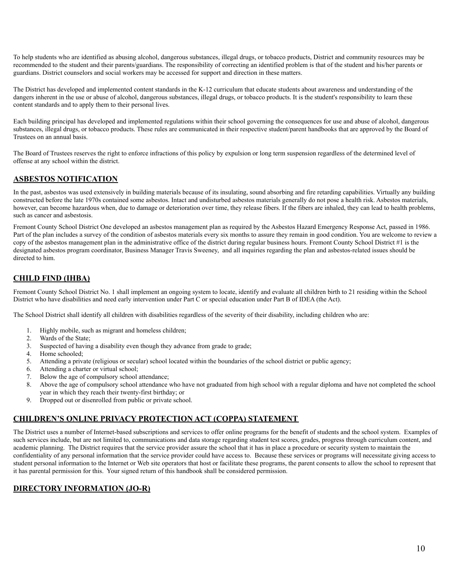To help students who are identified as abusing alcohol, dangerous substances, illegal drugs, or tobacco products, District and community resources may be recommended to the student and their parents/guardians. The responsibility of correcting an identified problem is that of the student and his/her parents or guardians. District counselors and social workers may be accessed for support and direction in these matters.

The District has developed and implemented content standards in the K-12 curriculum that educate students about awareness and understanding of the dangers inherent in the use or abuse of alcohol, dangerous substances, illegal drugs, or tobacco products. It is the student's responsibility to learn these content standards and to apply them to their personal lives.

Each building principal has developed and implemented regulations within their school governing the consequences for use and abuse of alcohol, dangerous substances, illegal drugs, or tobacco products. These rules are communicated in their respective student/parent handbooks that are approved by the Board of Trustees on an annual basis.

The Board of Trustees reserves the right to enforce infractions of this policy by expulsion or long term suspension regardless of the determined level of offense at any school within the district.

# **ASBESTOS NOTIFICATION**

In the past, asbestos was used extensively in building materials because of its insulating, sound absorbing and fire retarding capabilities. Virtually any building constructed before the late 1970s contained some asbestos. Intact and undisturbed asbestos materials generally do not pose a health risk. Asbestos materials, however, can become hazardous when, due to damage or deterioration over time, they release fibers. If the fibers are inhaled, they can lead to health problems, such as cancer and asbestosis.

Fremont County School District One developed an asbestos management plan as required by the Asbestos Hazard Emergency Response Act, passed in 1986. Part of the plan includes a survey of the condition of asbestos materials every six months to assure they remain in good condition. You are welcome to review a copy of the asbestos management plan in the administrative office of the district during regular business hours. Fremont County School District #1 is the designated asbestos program coordinator, Business Manager Travis Sweeney, and all inquiries regarding the plan and asbestos-related issues should be directed to him.

# **CHILD FIND (IHBA)**

Fremont County School District No. 1 shall implement an ongoing system to locate, identify and evaluate all children birth to 21 residing within the School District who have disabilities and need early intervention under Part C or special education under Part B of IDEA (the Act).

The School District shall identify all children with disabilities regardless of the severity of their disability, including children who are:

- 1. Highly mobile, such as migrant and homeless children;
- 2. Wards of the State;
- 3. Suspected of having a disability even though they advance from grade to grade;
- 4. Home schooled;
- 5. Attending a private (religious or secular) school located within the boundaries of the school district or public agency;
- 6. Attending a charter or virtual school;
- 7. Below the age of compulsory school attendance;
- 8. Above the age of compulsory school attendance who have not graduated from high school with a regular diploma and have not completed the school year in which they reach their twenty-first birthday; or
- 9. Dropped out or disenrolled from public or private school.

# **CHILDREN'S ONLINE PRIVACY PROTECTION ACT (COPPA) STATEMENT**

The District uses a number of Internet-based subscriptions and services to offer online programs for the benefit of students and the school system. Examples of such services include, but are not limited to, communications and data storage regarding student test scores, grades, progress through curriculum content, and academic planning. The District requires that the service provider assure the school that it has in place a procedure or security system to maintain the confidentiality of any personal information that the service provider could have access to. Because these services or programs will necessitate giving access to student personal information to the Internet or Web site operators that host or facilitate these programs, the parent consents to allow the school to represent that it has parental permission for this. Your signed return of this handbook shall be considered permission.

# **DIRECTORY INFORMATION (JO-R)**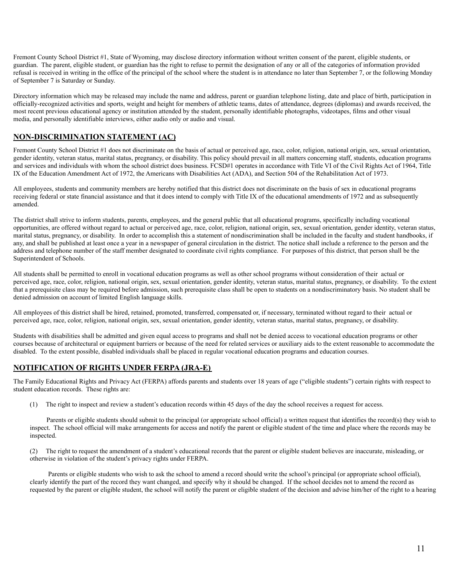Fremont County School District #1, State of Wyoming, may disclose directory information without written consent of the parent, eligible students, or guardian. The parent, eligible student, or guardian has the right to refuse to permit the designation of any or all of the categories of information provided refusal is received in writing in the office of the principal of the school where the student is in attendance no later than September 7, or the following Monday of September 7 is Saturday or Sunday.

Directory information which may be released may include the name and address, parent or guardian telephone listing, date and place of birth, participation in officially-recognized activities and sports, weight and height for members of athletic teams, dates of attendance, degrees (diplomas) and awards received, the most recent previous educational agency or institution attended by the student, personally identifiable photographs, videotapes, films and other visual media, and personally identifiable interviews, either audio only or audio and visual.

# **NON-DISCRIMINATION STATEMENT (AC)**

Fremont County School District #1 does not discriminate on the basis of actual or perceived age, race, color, religion, national origin, sex, sexual orientation, gender identity, veteran status, marital status, pregnancy, or disability. This policy should prevail in all matters concerning staff, students, education programs and services and individuals with whom the school district does business. FCSD#1 operates in accordance with Title VI of the Civil Rights Act of 1964, Title IX of the Education Amendment Act of 1972, the Americans with Disabilities Act (ADA), and Section 504 of the Rehabilitation Act of 1973.

All employees, students and community members are hereby notified that this district does not discriminate on the basis of sex in educational programs receiving federal or state financial assistance and that it does intend to comply with Title IX of the educational amendments of 1972 and as subsequently amended.

The district shall strive to inform students, parents, employees, and the general public that all educational programs, specifically including vocational opportunities, are offered without regard to actual or perceived age, race, color, religion, national origin, sex, sexual orientation, gender identity, veteran status, marital status, pregnancy, or disability. In order to accomplish this a statement of nondiscrimination shall be included in the faculty and student handbooks, if any, and shall be published at least once a year in a newspaper of general circulation in the district. The notice shall include a reference to the person and the address and telephone number of the staff member designated to coordinate civil rights compliance. For purposes of this district, that person shall be the Superintendent of Schools.

All students shall be permitted to enroll in vocational education programs as well as other school programs without consideration of their actual or perceived age, race, color, religion, national origin, sex, sexual orientation, gender identity, veteran status, marital status, pregnancy, or disability. To the extent that a prerequisite class may be required before admission, such prerequisite class shall be open to students on a nondiscriminatory basis. No student shall be denied admission on account of limited English language skills.

All employees of this district shall be hired, retained, promoted, transferred, compensated or, if necessary, terminated without regard to their actual or perceived age, race, color, religion, national origin, sex, sexual orientation, gender identity, veteran status, marital status, pregnancy, or disability.

Students with disabilities shall be admitted and given equal access to programs and shall not be denied access to vocational education programs or other courses because of architectural or equipment barriers or because of the need for related services or auxiliary aids to the extent reasonable to accommodate the disabled. To the extent possible, disabled individuals shall be placed in regular vocational education programs and education courses.

# **NOTIFICATION OF RIGHTS UNDER FERPA (JRA-E)**

The Family Educational Rights and Privacy Act (FERPA) affords parents and students over 18 years of age ("eligible students") certain rights with respect to student education records. These rights are:

(1) The right to inspect and review a student's education records within 45 days of the day the school receives a request for access.

 Parents or eligible students should submit to the principal (or appropriate school official) a written request that identifies the record(s) they wish to inspect. The school official will make arrangements for access and notify the parent or eligible student of the time and place where the records may be inspected.

(2) The right to request the amendment of a student's educational records that the parent or eligible student believes are inaccurate, misleading, or otherwise in violation of the student's privacy rights under FERPA.

Parents or eligible students who wish to ask the school to amend a record should write the school's principal (or appropriate school official), clearly identify the part of the record they want changed, and specify why it should be changed. If the school decides not to amend the record as requested by the parent or eligible student, the school will notify the parent or eligible student of the decision and advise him/her of the right to a hearing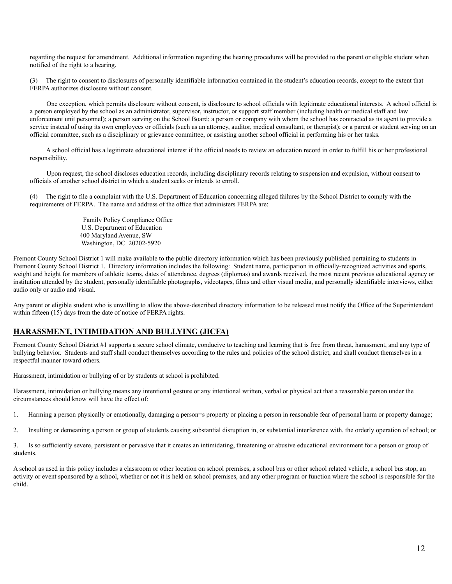regarding the request for amendment. Additional information regarding the hearing procedures will be provided to the parent or eligible student when notified of the right to a hearing.

(3) The right to consent to disclosures of personally identifiable information contained in the student's education records, except to the extent that FERPA authorizes disclosure without consent.

 One exception, which permits disclosure without consent, is disclosure to school officials with legitimate educational interests. A school official is a person employed by the school as an administrator, supervisor, instructor, or support staff member (including health or medical staff and law enforcement unit personnel); a person serving on the School Board; a person or company with whom the school has contracted as its agent to provide a service instead of using its own employees or officials (such as an attorney, auditor, medical consultant, or therapist); or a parent or student serving on an official committee, such as a disciplinary or grievance committee, or assisting another school official in performing his or her tasks.

A school official has a legitimate educational interest if the official needs to review an education record in order to fulfill his or her professional responsibility.

 Upon request, the school discloses education records, including disciplinary records relating to suspension and expulsion, without consent to officials of another school district in which a student seeks or intends to enroll.

(4) The right to file a complaint with the U.S. Department of Education concerning alleged failures by the School District to comply with the requirements of FERPA. The name and address of the office that administers FERPA are:

> Family Policy Compliance Office U.S. Department of Education 400 Maryland Avenue, SW Washington, DC 20202-5920

Fremont County School District 1 will make available to the public directory information which has been previously published pertaining to students in Fremont County School District 1. Directory information includes the following: Student name, participation in officially-recognized activities and sports, weight and height for members of athletic teams, dates of attendance, degrees (diplomas) and awards received, the most recent previous educational agency or institution attended by the student, personally identifiable photographs, videotapes, films and other visual media, and personally identifiable interviews, either audio only or audio and visual.

Any parent or eligible student who is unwilling to allow the above-described directory information to be released must notify the Office of the Superintendent within fifteen (15) days from the date of notice of FERPA rights.

### **HARASSMENT, INTIMIDATION AND BULLYING (JICFA)**

Fremont County School District #1 supports a secure school climate, conducive to teaching and learning that is free from threat, harassment, and any type of bullying behavior. Students and staff shall conduct themselves according to the rules and policies of the school district, and shall conduct themselves in a respectful manner toward others.

Harassment, intimidation or bullying of or by students at school is prohibited.

Harassment, intimidation or bullying means any intentional gesture or any intentional written, verbal or physical act that a reasonable person under the circumstances should know will have the effect of:

1. Harming a person physically or emotionally, damaging a person=s property or placing a person in reasonable fear of personal harm or property damage;

2. Insulting or demeaning a person or group of students causing substantial disruption in, or substantial interference with, the orderly operation of school; or

3. Is so sufficiently severe, persistent or pervasive that it creates an intimidating, threatening or abusive educational environment for a person or group of students.

A school as used in this policy includes a classroom or other location on school premises, a school bus or other school related vehicle, a school bus stop, an activity or event sponsored by a school, whether or not it is held on school premises, and any other program or function where the school is responsible for the child.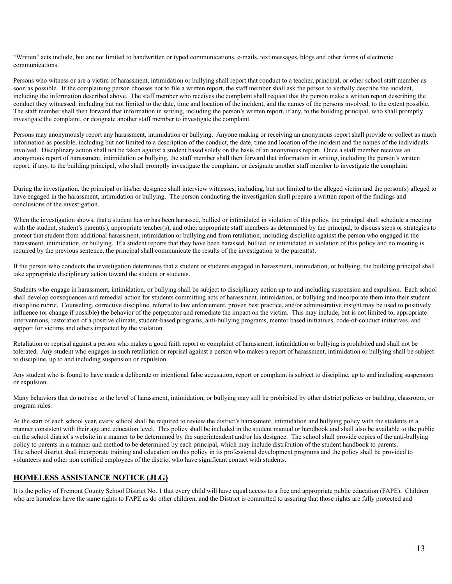"Written" acts include, but are not limited to handwritten or typed communications, e-mails, text messages, blogs and other forms of electronic communications.

Persons who witness or are a victim of harassment, intimidation or bullying shall report that conduct to a teacher, principal, or other school staff member as soon as possible. If the complaining person chooses not to file a written report, the staff member shall ask the person to verbally describe the incident, including the information described above. The staff member who receives the complaint shall request that the person make a written report describing the conduct they witnessed, including but not limited to the date, time and location of the incident, and the names of the persons involved, to the extent possible. The staff member shall then forward that information in writing, including the person's written report, if any, to the building principal, who shall promptly investigate the complaint, or designate another staff member to investigate the complaint.

Persons may anonymously report any harassment, intimidation or bullying. Anyone making or receiving an anonymous report shall provide or collect as much information as possible, including but not limited to a description of the conduct, the date, time and location of the incident and the names of the individuals involved. Disciplinary action shall not be taken against a student based solely on the basis of an anonymous report. Once a staff member receives an anonymous report of harassment, intimidation or bullying, the staff member shall then forward that information in writing, including the person's written report, if any, to the building principal, who shall promptly investigate the complaint, or designate another staff member to investigate the complaint.

During the investigation, the principal or his/her designee shall interview witnesses, including, but not limited to the alleged victim and the person(s) alleged to have engaged in the harassment, intimidation or bullying. The person conducting the investigation shall prepare a written report of the findings and conclusions of the investigation.

When the investigation shows, that a student has or has been harassed, bullied or intimidated in violation of this policy, the principal shall schedule a meeting with the student, student's parent(s), appropriate teacher(s), and other appropriate staff members as determined by the principal, to discuss steps or strategies to protect that student from additional harassment, intimidation or bullying and from retaliation, including discipline against the person who engaged in the harassment, intimidation, or bullying. If a student reports that they have been harassed, bullied, or intimidated in violation of this policy and no meeting is required by the previous sentence, the principal shall communicate the results of the investigation to the parent(s).

If the person who conducts the investigation determines that a student or students engaged in harassment, intimidation, or bullying, the building principal shall take appropriate disciplinary action toward the student or students.

Students who engage in harassment, intimidation, or bullying shall be subject to disciplinary action up to and including suspension and expulsion. Each school shall develop consequences and remedial action for students committing acts of harassment, intimidation, or bullying and incorporate them into their student discipline rubric. Counseling, corrective discipline, referral to law enforcement, proven best practice, and/or administrative insight may be used to positively influence (or change if possible) the behavior of the perpetrator and remediate the impact on the victim. This may include, but is not limited to, appropriate interventions, restoration of a positive climate, student-based programs, anti-bullying programs, mentor based initiatives, code-of-conduct initiatives, and support for victims and others impacted by the violation.

Retaliation or reprisal against a person who makes a good faith report or complaint of harassment, intimidation or bullying is prohibited and shall not be tolerated. Any student who engages in such retaliation or reprisal against a person who makes a report of harassment, intimidation or bullying shall be subject to discipline, up to and including suspension or expulsion.

Any student who is found to have made a deliberate or intentional false accusation, report or complaint is subject to discipline, up to and including suspension or expulsion.

Many behaviors that do not rise to the level of harassment, intimidation, or bullying may still be prohibited by other district policies or building, classroom, or program rules.

At the start of each school year, every school shall be required to review the district's harassment, intimidation and bullying policy with the students in a manner consistent with their age and education level. This policy shall be included in the student manual or handbook and shall also be available to the public on the school district's website in a manner to be determined by the superintendent and/or his designee. The school shall provide copies of the anti-bullying policy to parents in a manner and method to be determined by each principal, which may include distribution of the student handbook to parents. The school district shall incorporate training and education on this policy in its professional development programs and the policy shall be provided to volunteers and other non certified employees of the district who have significant contact with students.

### **HOMELESS ASSISTANCE NOTICE (JLG)**

It is the policy of Fremont County School District No. 1 that every child will have equal access to a free and appropriate public education (FAPE). Children who are homeless have the same rights to FAPE as do other children, and the District is committed to assuring that those rights are fully protected and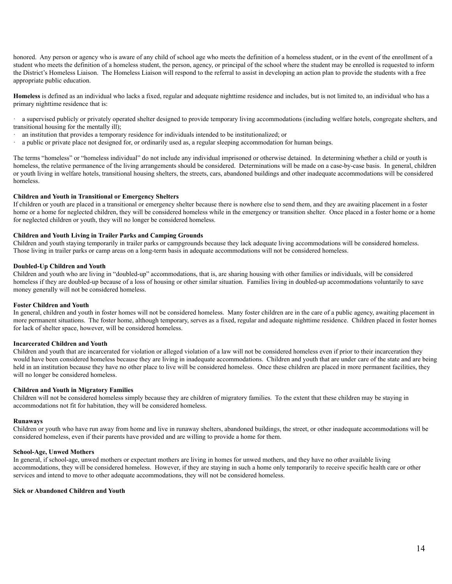honored. Any person or agency who is aware of any child of school age who meets the definition of a homeless student, or in the event of the enrollment of a student who meets the definition of a homeless student, the person, agency, or principal of the school where the student may be enrolled is requested to inform the District's Homeless Liaison. The Homeless Liaison will respond to the referral to assist in developing an action plan to provide the students with a free appropriate public education.

**Homeless** is defined as an individual who lacks a fixed, regular and adequate nighttime residence and includes, but is not limited to, an individual who has a primary nighttime residence that is:

a supervised publicly or privately operated shelter designed to provide temporary living accommodations (including welfare hotels, congregate shelters, and transitional housing for the mentally ill);

- an institution that provides a temporary residence for individuals intended to be institutionalized; or
- a public or private place not designed for, or ordinarily used as, a regular sleeping accommodation for human beings.

The terms "homeless" or "homeless individual" do not include any individual imprisoned or otherwise detained. In determining whether a child or youth is homeless, the relative permanence of the living arrangements should be considered. Determinations will be made on a case-by-case basis. In general, children or youth living in welfare hotels, transitional housing shelters, the streets, cars, abandoned buildings and other inadequate accommodations will be considered homeless.

### **Children and Youth in Transitional or Emergency Shelters**

If children or youth are placed in a transitional or emergency shelter because there is nowhere else to send them, and they are awaiting placement in a foster home or a home for neglected children, they will be considered homeless while in the emergency or transition shelter. Once placed in a foster home or a home for neglected children or youth, they will no longer be considered homeless.

### **Children and Youth Living in Trailer Parks and Camping Grounds**

Children and youth staying temporarily in trailer parks or campgrounds because they lack adequate living accommodations will be considered homeless. Those living in trailer parks or camp areas on a long-term basis in adequate accommodations will not be considered homeless.

### **Doubled-Up Children and Youth**

Children and youth who are living in "doubled-up" accommodations, that is, are sharing housing with other families or individuals, will be considered homeless if they are doubled-up because of a loss of housing or other similar situation. Families living in doubled-up accommodations voluntarily to save money generally will not be considered homeless.

#### **Foster Children and Youth**

In general, children and youth in foster homes will not be considered homeless. Many foster children are in the care of a public agency, awaiting placement in more permanent situations. The foster home, although temporary, serves as a fixed, regular and adequate nighttime residence. Children placed in foster homes for lack of shelter space, however, will be considered homeless.

### **Incarcerated Children and Youth**

Children and youth that are incarcerated for violation or alleged violation of a law will not be considered homeless even if prior to their incarceration they would have been considered homeless because they are living in inadequate accommodations. Children and youth that are under care of the state and are being held in an institution because they have no other place to live will be considered homeless. Once these children are placed in more permanent facilities, they will no longer be considered homeless.

### **Children and Youth in Migratory Families**

Children will not be considered homeless simply because they are children of migratory families. To the extent that these children may be staying in accommodations not fit for habitation, they will be considered homeless.

### **Runaways**

Children or youth who have run away from home and live in runaway shelters, abandoned buildings, the street, or other inadequate accommodations will be considered homeless, even if their parents have provided and are willing to provide a home for them.

#### **School-Age, Unwed Mothers**

In general, if school-age, unwed mothers or expectant mothers are living in homes for unwed mothers, and they have no other available living accommodations, they will be considered homeless. However, if they are staying in such a home only temporarily to receive specific health care or other services and intend to move to other adequate accommodations, they will not be considered homeless.

### **Sick or Abandoned Children and Youth**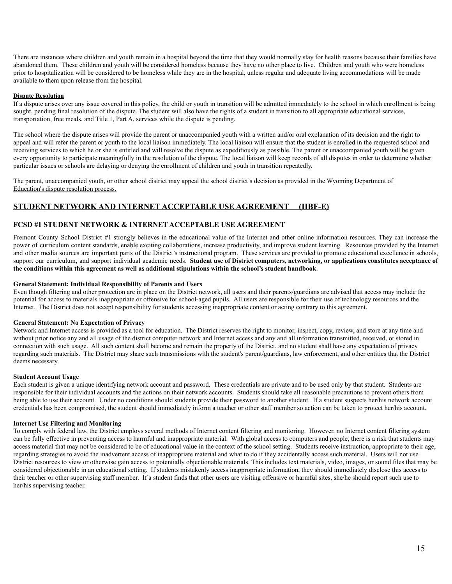There are instances where children and youth remain in a hospital beyond the time that they would normally stay for health reasons because their families have abandoned them. These children and youth will be considered homeless because they have no other place to live. Children and youth who were homeless prior to hospitalization will be considered to be homeless while they are in the hospital, unless regular and adequate living accommodations will be made available to them upon release from the hospital.

### **Dispute Resolution**

If a dispute arises over any issue covered in this policy, the child or youth in transition will be admitted immediately to the school in which enrollment is being sought, pending final resolution of the dispute. The student will also have the rights of a student in transition to all appropriate educational services, transportation, free meals, and Title 1, Part A, services while the dispute is pending.

The school where the dispute arises will provide the parent or unaccompanied youth with a written and/or oral explanation of its decision and the right to appeal and will refer the parent or youth to the local liaison immediately. The local liaison will ensure that the student is enrolled in the requested school and receiving services to which he or she is entitled and will resolve the dispute as expeditiously as possible. The parent or unaccompanied youth will be given every opportunity to participate meaningfully in the resolution of the dispute. The local liaison will keep records of all disputes in order to determine whether particular issues or schools are delaying or denying the enrollment of children and youth in transition repeatedly.

The parent, unaccompanied youth, or other school district may appeal the school district's decision as provided in the Wyoming Department of Education's dispute resolution process.

# **STUDENT NETWORK AND INTERNET ACCEPTABLE USE AGREEMENT (IIBF-E)**

### **FCSD #1 STUDENT NETWORK & INTERNET ACCEPTABLE USE AGREEMENT**

Fremont County School District #1 strongly believes in the educational value of the Internet and other online information resources. They can increase the power of curriculum content standards, enable exciting collaborations, increase productivity, and improve student learning. Resources provided by the Internet and other media sources are important parts of the District's instructional program. These services are provided to promote educational excellence in schools, support our curriculum, and support individual academic needs. Student use of District computers, networking, or applications constitutes acceptance of **the conditions within this agreement as well as additional stipulations within the school's student handbook**.

### **General Statement: Individual Responsibility of Parents and Users**

Even though filtering and other protection are in place on the District network, all users and their parents/guardians are advised that access may include the potential for access to materials inappropriate or offensive for school-aged pupils. All users are responsible for their use of technology resources and the Internet. The District does not accept responsibility for students accessing inappropriate content or acting contrary to this agreement.

### **General Statement: No Expectation of Privacy**

Network and Internet access is provided as a tool for education. The District reserves the right to monitor, inspect, copy, review, and store at any time and without prior notice any and all usage of the district computer network and Internet access and any and all information transmitted, received, or stored in connection with such usage. All such content shall become and remain the property of the District, and no student shall have any expectation of privacy regarding such materials. The District may share such transmissions with the student's parent/guardians, law enforcement, and other entities that the District deems necessary.

### **Student Account Usage**

Each student is given a unique identifying network account and password. These credentials are private and to be used only by that student. Students are responsible for their individual accounts and the actions on their network accounts. Students should take all reasonable precautions to prevent others from being able to use their account. Under no conditions should students provide their password to another student. If a student suspects her/his network account credentials has been compromised, the student should immediately inform a teacher or other staff member so action can be taken to protect her/his account.

### **Internet Use Filtering and Monitoring**

To comply with federal law, the District employs several methods of Internet content filtering and monitoring. However, no Internet content filtering system can be fully effective in preventing access to harmful and inappropriate material. With global access to computers and people, there is a risk that students may access material that may not be considered to be of educational value in the context of the school setting. Students receive instruction, appropriate to their age, regarding strategies to avoid the inadvertent access of inappropriate material and what to do if they accidentally access such material. Users will not use District resources to view or otherwise gain access to potentially objectionable materials. This includes text materials, video, images, or sound files that may be considered objectionable in an educational setting. If students mistakenly access inappropriate information, they should immediately disclose this access to their teacher or other supervising staff member. If a student finds that other users are visiting offensive or harmful sites, she/he should report such use to her/his supervising teacher.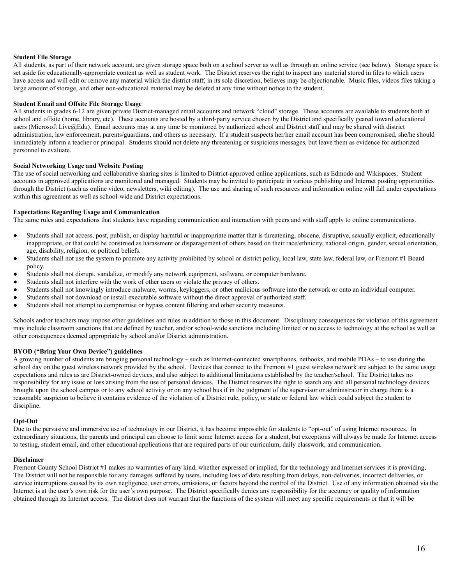### **Student File Storage**

All students, as part of their network account, are given storage space both on a school server as well as through an online service (see below). Storage space is set aside for educationally-appropriate content as well as student work. The District reserves the right to inspect any material stored in files to which users have access and will edit or remove any material which the district staff, in its sole discretion, believes may be objectionable. Music files, videos files taking a large amount of storage, and other non-educational material may be deleted at any time without notice to the student.

### **Student Email and Offsite File Storage Usage**

All students in grades 6-12 are given private District-managed email accounts and network "cloud" storage. These accounts are available to students both at school and offsite (home, library, etc). These accounts are hosted by a third-party service chosen by the District and specifically geared toward educational users (Microsoft Live@Edu). Email accounts may at any time be monitored by authorized school and District staff and may be shared with district administration, law enforcement, parents/guardians, and others as necessary. If a student suspects her/her email account has been compromised, she/he should immediately inform a teacher or principal. Students should not delete any threatening or suspicious messages, but leave them as evidence for authorized personnel to evaluate.

### **Social Networking Usage and Website Posting**

The use of social networking and collaborative sharing sites is limited to District-approved online applications, such as Edmodo and Wikispaces. Student accounts in approved applications are monitored and managed. Students may be invited to participate in various publishing and Internet posting opportunities through the District (such as online video, newsletters, wiki editing). The use and sharing of such resources and information online will fall under expectations within this agreement as well as school-wide and District expectations.

### **Expectations Regarding Usage and Communication**

The same rules and expectations that students have regarding communication and interaction with peers and with staff apply to online communications.

- Students shall not access, post, publish, or display harmful or inappropriate matter that is threatening, obscene, disruptive, sexually explicit, educationally inappropriate, or that could be construed as harassment or disparagement of others based on their race/ethnicity, national origin, gender, sexual orientation, age, disability, religion, or political beliefs.
- Students shall not use the system to promote any activity prohibited by school or district policy, local law, state law, federal law, or Fremont #1 Board policy.
- Students shall not disrupt, vandalize, or modify any network equipment, software, or computer hardware.
- Students shall not interfere with the work of other users or violate the privacy of others.
- Students shall not knowingly introduce malware, worms, keyloggers, or other malicious software into the network or onto an individual computer.
- Students shall not download or install executable software without the direct approval of authorized staff.
- Students shall not attempt to compromise or bypass content filtering and other security measures.

Schools and/or teachers may impose other guidelines and rules in addition to those in this document. Disciplinary consequences for violation of this agreement may include classroom sanctions that are defined by teacher, and/or school-wide sanctions including limited or no access to technology at the school as well as other consequences deemed appropriate by school and/or District administration.

### **BYOD ("Bring Your Own Device") guidelines**

A growing number of students are bringing personal technology – such as Internet-connected smartphones, netbooks, and mobile PDAs – to use during the school day on the guest wireless network provided by the school. Devices that connect to the Fremont #1 guest wireless network are subject to the same usage expectations and rules as are District-owned devices, and also subject to additional limitations established by the teacher/school. The District takes no responsibility for any issue or loss arising from the use of personal devices. The District reserves the right to search any and all personal technology devices brought upon the school campus or to any school activity or on any school bus if in the judgment of the supervisor or administrator in charge there is a reasonable suspicion to believe it contains evidence of the violation of a District rule, policy, or state or federal law which could subject the student to discipline.

### **Opt-Out**

Due to the pervasive and immersive use of technology in our District, it has become impossible for students to "opt-out" of using Internet resources. In extraordinary situations, the parents and principal can choose to limit some Internet access for a student, but exceptions will always be made for Internet access to testing, student email, and other educational applications that are required parts of our curriculum, daily classwork, and communication.

### **Disclaimer**

Fremont County School District #1 makes no warranties of any kind, whether expressed or implied, for the technology and Internet services it is providing. The District will not be responsible for any damages suffered by users, including loss of data resulting from delays, non-deliveries, incorrect deliveries, or service interruptions caused by its own negligence, user errors, omissions, or factors beyond the control of the District. Use of any information obtained via the Internet is at the user's own risk for the user's own purpose. The District specifically denies any responsibility for the accuracy or quality of information obtained through its Internet access. The district does not warrant that the functions of the system will meet any specific requirements or that it will be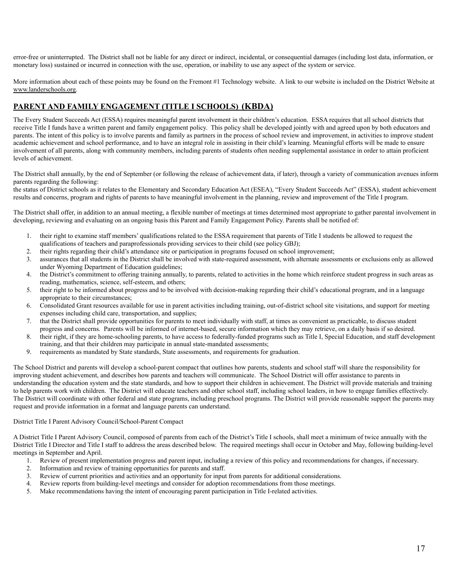error-free or uninterrupted. The District shall not be liable for any direct or indirect, incidental, or consequential damages (including lost data, information, or monetary loss) sustained or incurred in connection with the use, operation, or inability to use any aspect of the system or service.

More information about each of these points may be found on the Fremont #1 Technology website. A link to our website is included on the District Website at [www.landerschools.org.](http://www.landerschools.org)

# **PARENT AND FAMILY ENGAGEMENT (TITLE I SCHOOLS) (KBDA)**

The Every Student Succeeds Act (ESSA) requires meaningful parent involvement in their children's education. ESSA requires that all school districts that receive Title I funds have a written parent and family engagement policy. This policy shall be developed jointly with and agreed upon by both educators and parents. The intent of this policy is to involve parents and family as partners in the process of school review and improvement, in activities to improve student academic achievement and school performance, and to have an integral role in assisting in their child's learning. Meaningful efforts will be made to ensure involvement of all parents, along with community members, including parents of students often needing supplemental assistance in order to attain proficient levels of achievement.

The District shall annually, by the end of September (or following the release of achievement data, if later), through a variety of communication avenues inform parents regarding the following:

the status of District schools as it relates to the Elementary and Secondary Education Act (ESEA), "Every Student Succeeds Act" (ESSA), student achievement results and concerns, program and rights of parents to have meaningful involvement in the planning, review and improvement of the Title I program.

The District shall offer, in addition to an annual meeting, a flexible number of meetings at times determined most appropriate to gather parental involvement in developing, reviewing and evaluating on an ongoing basis this Parent and Family Engagement Policy. Parents shall be notified of:

- 1. their right to examine staff members' qualifications related to the ESSA requirement that parents of Title I students be allowed to request the qualifications of teachers and paraprofessionals providing services to their child (see policy GBJ);
- 2. their rights regarding their child's attendance site or participation in programs focused on school improvement;
- 3. assurances that all students in the District shall be involved with state-required assessment, with alternate assessments or exclusions only as allowed under Wyoming Department of Education guidelines;
- 4. the District's commitment to offering training annually, to parents, related to activities in the home which reinforce student progress in such areas as reading, mathematics, science, self-esteem, and others;
- 5. their right to be informed about progress and to be involved with decision-making regarding their child's educational program, and in a language appropriate to their circumstances;
- 6. Consolidated Grant resources available for use in parent activities including training, out-of-district school site visitations, and support for meeting expenses including child care, transportation, and supplies;
- 7. that the District shall provide opportunities for parents to meet individually with staff, at times as convenient as practicable, to discuss student progress and concerns. Parents will be informed of internet-based, secure information which they may retrieve, on a daily basis if so desired.
- 8. their right, if they are home-schooling parents, to have access to federally-funded programs such as Title I, Special Education, and staff development training, and that their children may participate in annual state-mandated assessments;
- 9. requirements as mandated by State standards, State assessments, and requirements for graduation.

The School District and parents will develop a school-parent compact that outlines how parents, students and school staff will share the responsibility for improving student achievement, and describes how parents and teachers will communicate. The School District will offer assistance to parents in understanding the education system and the state standards, and how to support their children in achievement. The District will provide materials and training to help parents work with children. The District will educate teachers and other school staff, including school leaders, in how to engage families effectively. The District will coordinate with other federal and state programs, including preschool programs. The District will provide reasonable support the parents may request and provide information in a format and language parents can understand.

### District Title I Parent Advisory Council/School-Parent Compact

A District Title I Parent Advisory Council, composed of parents from each of the District's Title I schools, shall meet a minimum of twice annually with the District Title I Director and Title I staff to address the areas described below. The required meetings shall occur in October and May, following building-level meetings in September and April.

- 1. Review of present implementation progress and parent input, including a review of this policy and recommendations for changes, if necessary.
- 2. Information and review of training opportunities for parents and staff.
- 3. Review of current priorities and activities and an opportunity for input from parents for additional considerations.
- 4. Review reports from building-level meetings and consider for adoption recommendations from those meetings.
- 5. Make recommendations having the intent of encouraging parent participation in Title I-related activities.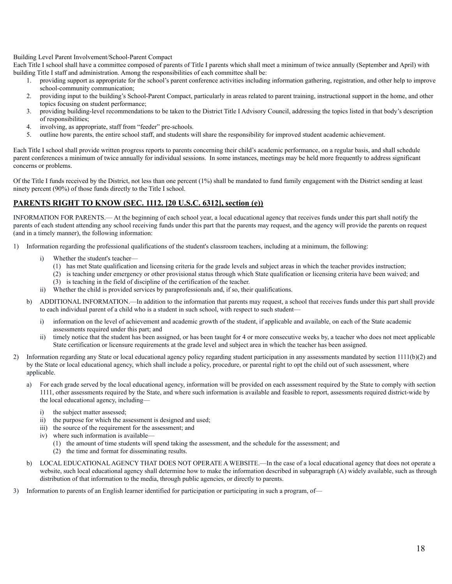Building Level Parent Involvement/School-Parent Compact

Each Title I school shall have a committee composed of parents of Title I parents which shall meet a minimum of twice annually (September and April) with building Title I staff and administration. Among the responsibilities of each committee shall be:

- 1. providing support as appropriate for the school's parent conference activities including information gathering, registration, and other help to improve school-community communication;
- 2. providing input to the building's School-Parent Compact, particularly in areas related to parent training, instructional support in the home, and other topics focusing on student performance;
- 3. providing building-level recommendations to be taken to the District Title I Advisory Council, addressing the topics listed in that body's description of responsibilities;
- 4. involving, as appropriate, staff from "feeder" pre-schools.
- 5. outline how parents, the entire school staff, and students will share the responsibility for improved student academic achievement.

Each Title I school shall provide written progress reports to parents concerning their child's academic performance, on a regular basis, and shall schedule parent conferences a minimum of twice annually for individual sessions. In some instances, meetings may be held more frequently to address significant concerns or problems.

Of the Title I funds received by the District, not less than one percent (1%) shall be mandated to fund family engagement with the District sending at least ninety percent (90%) of those funds directly to the Title I school.

# **PARENTS RIGHT TO KNOW (SEC. 1112. [20 U.S.C. 6312], section (e))**

INFORMATION FOR PARENTS.— At the beginning of each school year, a local educational agency that receives funds under this part shall notify the parents of each student attending any school receiving funds under this part that the parents may request, and the agency will provide the parents on request (and in a timely manner), the following information:

- 1) Information regarding the professional qualifications of the student's classroom teachers, including at a minimum, the following:
	- Whether the student's teacher-
		- (1) has met State qualification and licensing criteria for the grade levels and subject areas in which the teacher provides instruction;
		- (2) is teaching under emergency or other provisional status through which State qualification or licensing criteria have been waived; and
		- (3) is teaching in the field of discipline of the certification of the teacher.
	- ii) Whether the child is provided services by paraprofessionals and, if so, their qualifications.
	- b) ADDITIONAL INFORMATION.—In addition to the information that parents may request, a school that receives funds under this part shall provide to each individual parent of a child who is a student in such school, with respect to such student
		- i) information on the level of achievement and academic growth of the student, if applicable and available, on each of the State academic assessments required under this part; and
		- ii) timely notice that the student has been assigned, or has been taught for 4 or more consecutive weeks by, a teacher who does not meet applicable State certification or licensure requirements at the grade level and subject area in which the teacher has been assigned.
- 2) Information regarding any State or local educational agency policy regarding student participation in any assessments mandated by section 1111(b)(2) and by the State or local educational agency, which shall include a policy, procedure, or parental right to opt the child out of such assessment, where applicable.
	- a) For each grade served by the local educational agency, information will be provided on each assessment required by the State to comply with section 1111, other assessments required by the State, and where such information is available and feasible to report, assessments required district-wide by the local educational agency, including
		- i) the subject matter assessed;
		- ii) the purpose for which the assessment is designed and used;
		- iii) the source of the requirement for the assessment; and
		- iv) where such information is available—
			- (1) the amount of time students will spend taking the assessment, and the schedule for the assessment; and
			- (2) the time and format for disseminating results.
	- b) LOCAL EDUCATIONAL AGENCY THAT DOES NOT OPERATE A WEBSITE.—In the case of a local educational agency that does not operate a website, such local educational agency shall determine how to make the information described in subparagraph (A) widely available, such as through distribution of that information to the media, through public agencies, or directly to parents.
- 3) Information to parents of an English learner identified for participation or participating in such a program, of—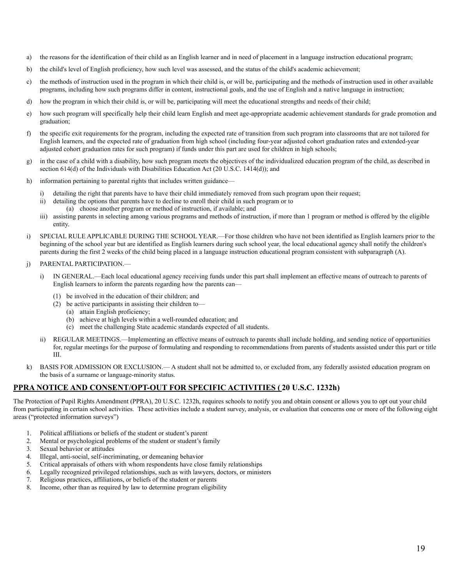- a) the reasons for the identification of their child as an English learner and in need of placement in a language instruction educational program;
- b) the child's level of English proficiency, how such level was assessed, and the status of the child's academic achievement;
- c) the methods of instruction used in the program in which their child is, or will be, participating and the methods of instruction used in other available programs, including how such programs differ in content, instructional goals, and the use of English and a native language in instruction;
- d) how the program in which their child is, or will be, participating will meet the educational strengths and needs of their child;
- e) how such program will specifically help their child learn English and meet age-appropriate academic achievement standards for grade promotion and graduation;
- f) the specific exit requirements for the program, including the expected rate of transition from such program into classrooms that are not tailored for English learners, and the expected rate of graduation from high school (including four-year adjusted cohort graduation rates and extended-year adjusted cohort graduation rates for such program) if funds under this part are used for children in high schools;
- g) in the case of a child with a disability, how such program meets the objectives of the individualized education program of the child, as described in section 614(d) of the Individuals with Disabilities Education Act (20 U.S.C. 1414(d)); and
- h) information pertaining to parental rights that includes written guidance
	- i) detailing the right that parents have to have their child immediately removed from such program upon their request;
	- ii) detailing the options that parents have to decline to enroll their child in such program or to
		- (a) choose another program or method of instruction, if available; and
	- iii) assisting parents in selecting among various programs and methods of instruction, if more than 1 program or method is offered by the eligible entity.
- i) SPECIAL RULE APPLICABLE DURING THE SCHOOL YEAR.—For those children who have not been identified as English learners prior to the beginning of the school year but are identified as English learners during such school year, the local educational agency shall notify the children's parents during the first 2 weeks of the child being placed in a language instruction educational program consistent with subparagraph (A).
- j) PARENTAL PARTICIPATION.
	- i) IN GENERAL.—Each local educational agency receiving funds under this part shall implement an effective means of outreach to parents of English learners to inform the parents regarding how the parents can—
		- (1) be involved in the education of their children; and
		- (2) be active participants in assisting their children to—
			- (a) attain English proficiency;
			- (b) achieve at high levels within a well-rounded education; and
			- (c) meet the challenging State academic standards expected of all students.
	- ii) REGULAR MEETINGS.—Implementing an effective means of outreach to parents shall include holding, and sending notice of opportunities for, regular meetings for the purpose of formulating and responding to recommendations from parents of students assisted under this part or title III.
- k) BASIS FOR ADMISSION OR EXCLUSION.— A student shall not be admitted to, or excluded from, any federally assisted education program on the basis of a surname or language-minority status.

# **PPRA NOTICE AND CONSENT/OPT-OUT FOR SPECIFIC ACTIVITIES ( 20 U.S.C. 1232h)**

The Protection of Pupil Rights Amendment (PPRA), 20 U.S.C. 1232h, requires schools to notify you and obtain consent or allows you to opt out your child from participating in certain school activities. These activities include a student survey, analysis, or evaluation that concerns one or more of the following eight areas ("protected information surveys")

- 1. Political affiliations or beliefs of the student or student's parent
- 2. Mental or psychological problems of the student or student's family
- 3. Sexual behavior or attitudes
- 4. Illegal, anti-social, self-incriminating, or demeaning behavior
- 5. Critical appraisals of others with whom respondents have close family relationships
- 6. Legally recognized privileged relationships, such as with lawyers, doctors, or ministers
- 7. Religious practices, affiliations, or beliefs of the student or parents
- 8. Income, other than as required by law to determine program eligibility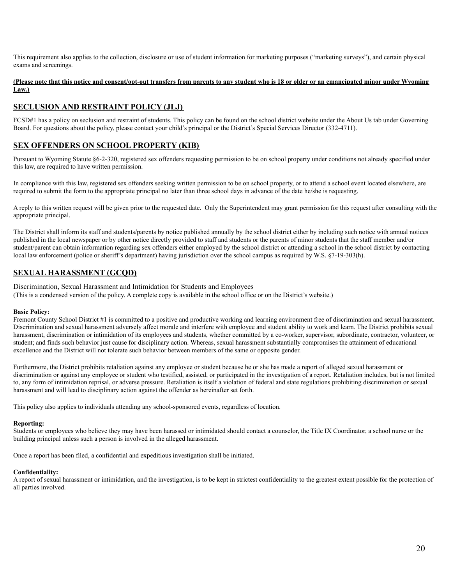This requirement also applies to the collection, disclosure or use of student information for marketing purposes ("marketing surveys"), and certain physical exams and screenings.

### **(Please note that this notice and consent/opt-out transfers from parents to any student who is 18 or older or an emancipated minor under Wyoming Law.)**

# **SECLUSION AND RESTRAINT POLICY (JLJ)**

FCSD#1 has a policy on seclusion and restraint of students. This policy can be found on the school district website under the About Us tab under Governing Board. For questions about the policy, please contact your child's principal or the District's Special Services Director (332-4711).

# **SEX OFFENDERS ON SCHOOL PROPERTY (KIB)**

Pursuant to Wyoming Statute §6-2-320, registered sex offenders requesting permission to be on school property under conditions not already specified under this law, are required to have written permission.

In compliance with this law, registered sex offenders seeking written permission to be on school property, or to attend a school event located elsewhere, are required to submit the form to the appropriate principal no later than three school days in advance of the date he/she is requesting.

A reply to this written request will be given prior to the requested date. Only the Superintendent may grant permission for this request after consulting with the appropriate principal.

The District shall inform its staff and students/parents by notice published annually by the school district either by including such notice with annual notices published in the local newspaper or by other notice directly provided to staff and students or the parents of minor students that the staff member and/or student/parent can obtain information regarding sex offenders either employed by the school district or attending a school in the school district by contacting local law enforcement (police or sheriff's department) having jurisdiction over the school campus as required by W.S. §7-19-303(h).

### **SEXUAL HARASSMENT (GCQD)**

Discrimination, Sexual Harassment and Intimidation for Students and Employees

(This is a condensed version of the policy. A complete copy is available in the school office or on the District's website.)

### **Basic Policy:**

Fremont County School District #1 is committed to a positive and productive working and learning environment free of discrimination and sexual harassment. Discrimination and sexual harassment adversely affect morale and interfere with employee and student ability to work and learn. The District prohibits sexual harassment, discrimination or intimidation of its employees and students, whether committed by a co-worker, supervisor, subordinate, contractor, volunteer, or student; and finds such behavior just cause for disciplinary action. Whereas, sexual harassment substantially compromises the attainment of educational excellence and the District will not tolerate such behavior between members of the same or opposite gender.

Furthermore, the District prohibits retaliation against any employee or student because he or she has made a report of alleged sexual harassment or discrimination or against any employee or student who testified, assisted, or participated in the investigation of a report. Retaliation includes, but is not limited to, any form of intimidation reprisal, or adverse pressure. Retaliation is itself a violation of federal and state regulations prohibiting discrimination or sexual harassment and will lead to disciplinary action against the offender as hereinafter set forth.

This policy also applies to individuals attending any school-sponsored events, regardless of location.

### **Reporting:**

Students or employees who believe they may have been harassed or intimidated should contact a counselor, the Title IX Coordinator, a school nurse or the building principal unless such a person is involved in the alleged harassment.

Once a report has been filed, a confidential and expeditious investigation shall be initiated.

### **Confidentiality:**

A report of sexual harassment or intimidation, and the investigation, is to be kept in strictest confidentiality to the greatest extent possible for the protection of all parties involved.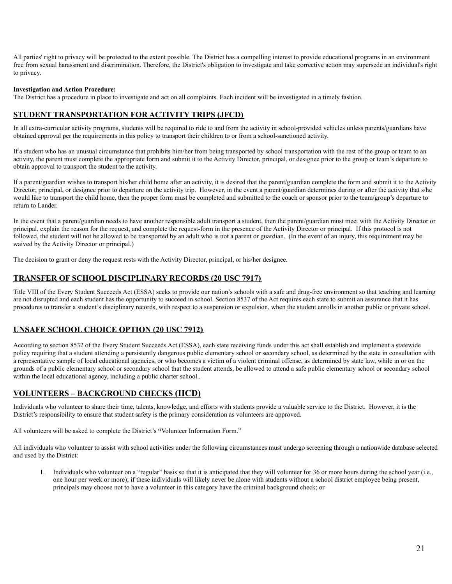All parties' right to privacy will be protected to the extent possible. The District has a compelling interest to provide educational programs in an environment free from sexual harassment and discrimination. Therefore, the District's obligation to investigate and take corrective action may supersede an individual's right to privacy.

### **Investigation and Action Procedure:**

The District has a procedure in place to investigate and act on all complaints. Each incident will be investigated in a timely fashion.

# **STUDENT TRANSPORTATION FOR ACTIVITY TRIPS (JFCD)**

In all extra-curricular activity programs, students will be required to ride to and from the activity in school-provided vehicles unless parents/guardians have obtained approval per the requirements in this policy to transport their children to or from a school-sanctioned activity.

If a student who has an unusual circumstance that prohibits him/her from being transported by school transportation with the rest of the group or team to an activity, the parent must complete the appropriate form and submit it to the Activity Director, principal, or designee prior to the group or team's departure to obtain approval to transport the student to the activity.

If a parent/guardian wishes to transport his/her child home after an activity, it is desired that the parent/guardian complete the form and submit it to the Activity Director, principal, or designee prior to departure on the activity trip. However, in the event a parent/guardian determines during or after the activity that s/he would like to transport the child home, then the proper form must be completed and submitted to the coach or sponsor prior to the team/group's departure to return to Lander.

In the event that a parent/guardian needs to have another responsible adult transport a student, then the parent/guardian must meet with the Activity Director or principal, explain the reason for the request, and complete the request-form in the presence of the Activity Director or principal. If this protocol is not followed, the student will not be allowed to be transported by an adult who is not a parent or guardian. (In the event of an injury, this requirement may be waived by the Activity Director or principal.)

The decision to grant or deny the request rests with the Activity Director, principal, or his/her designee.

# **TRANSFER OF SCHOOL DISCIPLINARY RECORDS (20 USC 7917)**

Title VIII of the Every Student Succeeds Act (ESSA) seeks to provide our nation's schools with a safe and drug-free environment so that teaching and learning are not disrupted and each student has the opportunity to succeed in school. Section 8537 of the Act requires each state to submit an assurance that it has procedures to transfer a student's disciplinary records, with respect to a suspension or expulsion, when the student enrolls in another public or private school.

# **UNSAFE SCHOOL CHOICE OPTION (20 USC 7912)**

According to section 8532 of the Every Student Succeeds Act (ESSA), each state receiving funds under this act shall establish and implement a statewide policy requiring that a student attending a persistently dangerous public elementary school or secondary school, as determined by the state in consultation with a representative sample of local educational agencies, or who becomes a victim of a violent criminal offense, as determined by state law, while in or on the grounds of a public elementary school or secondary school that the student attends, be allowed to attend a safe public elementary school or secondary school within the local educational agency, including a public charter school..

# **VOLUNTEERS – BACKGROUND CHECKS (IICD)**

Individuals who volunteer to share their time, talents, knowledge, and efforts with students provide a valuable service to the District. However, it is the District's responsibility to ensure that student safety is the primary consideration as volunteers are approved.

All volunteers will be asked to complete the District's **"**Volunteer Information Form."

All individuals who volunteer to assist with school activities under the following circumstances must undergo screening through a nationwide database selected and used by the District:

1. Individuals who volunteer on a "regular" basis so that it is anticipated that they will volunteer for 36 or more hours during the school year (i.e., one hour per week or more); if these individuals will likely never be alone with students without a school district employee being present, principals may choose not to have a volunteer in this category have the criminal background check; or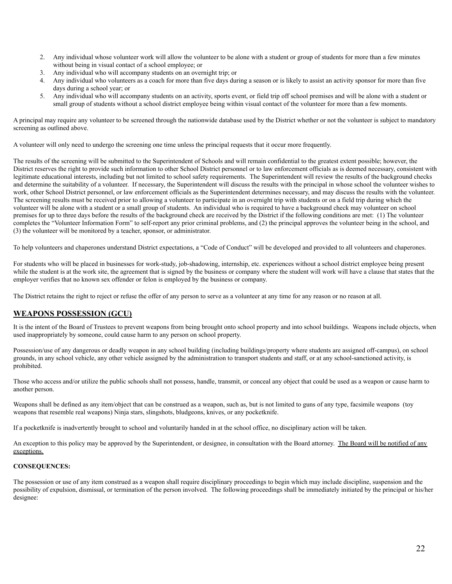- 2. Any individual whose volunteer work will allow the volunteer to be alone with a student or group of students for more than a few minutes without being in visual contact of a school employee; or
- 3. Any individual who will accompany students on an overnight trip; or
- 4. Any individual who volunteers as a coach for more than five days during a season or is likely to assist an activity sponsor for more than five days during a school year; or
- 5. Any individual who will accompany students on an activity, sports event, or field trip off school premises and will be alone with a student or small group of students without a school district employee being within visual contact of the volunteer for more than a few moments.

A principal may require any volunteer to be screened through the nationwide database used by the District whether or not the volunteer is subject to mandatory screening as outlined above.

A volunteer will only need to undergo the screening one time unless the principal requests that it occur more frequently.

The results of the screening will be submitted to the Superintendent of Schools and will remain confidential to the greatest extent possible; however, the District reserves the right to provide such information to other School District personnel or to law enforcement officials as is deemed necessary, consistent with legitimate educational interests, including but not limited to school safety requirements. The Superintendent will review the results of the background checks and determine the suitability of a volunteer. If necessary, the Superintendent will discuss the results with the principal in whose school the volunteer wishes to work, other School District personnel, or law enforcement officials as the Superintendent determines necessary, and may discuss the results with the volunteer. The screening results must be received prior to allowing a volunteer to participate in an overnight trip with students or on a field trip during which the volunteer will be alone with a student or a small group of students. An individual who is required to have a background check may volunteer on school premises for up to three days before the results of the background check are received by the District if the following conditions are met: (1) The volunteer completes the "Volunteer Information Form" to self-report any prior criminal problems, and (2) the principal approves the volunteer being in the school, and (3) the volunteer will be monitored by a teacher, sponsor, or administrator.

To help volunteers and chaperones understand District expectations, a "Code of Conduct" will be developed and provided to all volunteers and chaperones.

For students who will be placed in businesses for work-study, job-shadowing, internship, etc. experiences without a school district employee being present while the student is at the work site, the agreement that is signed by the business or company where the student will work will have a clause that states that the employer verifies that no known sex offender or felon is employed by the business or company.

The District retains the right to reject or refuse the offer of any person to serve as a volunteer at any time for any reason or no reason at all.

# **WEAPONS POSSESSION (GCU)**

It is the intent of the Board of Trustees to prevent weapons from being brought onto school property and into school buildings. Weapons include objects, when used inappropriately by someone, could cause harm to any person on school property.

Possession/use of any dangerous or deadly weapon in any school building (including buildings/property where students are assigned off-campus), on school grounds, in any school vehicle, any other vehicle assigned by the administration to transport students and staff, or at any school-sanctioned activity, is prohibited.

Those who access and/or utilize the public schools shall not possess, handle, transmit, or conceal any object that could be used as a weapon or cause harm to another person.

Weapons shall be defined as any item/object that can be construed as a weapon, such as, but is not limited to guns of any type, facsimile weapons (toy weapons that resemble real weapons) Ninja stars, slingshots, bludgeons, knives, or any pocketknife.

If a pocketknife is inadvertently brought to school and voluntarily handed in at the school office, no disciplinary action will be taken.

An exception to this policy may be approved by the Superintendent, or designee, in consultation with the Board attorney. The Board will be notified of any exceptions.

### **CONSEQUENCES:**

The possession or use of any item construed as a weapon shall require disciplinary proceedings to begin which may include discipline, suspension and the possibility of expulsion, dismissal, or termination of the person involved. The following proceedings shall be immediately initiated by the principal or his/her designee: